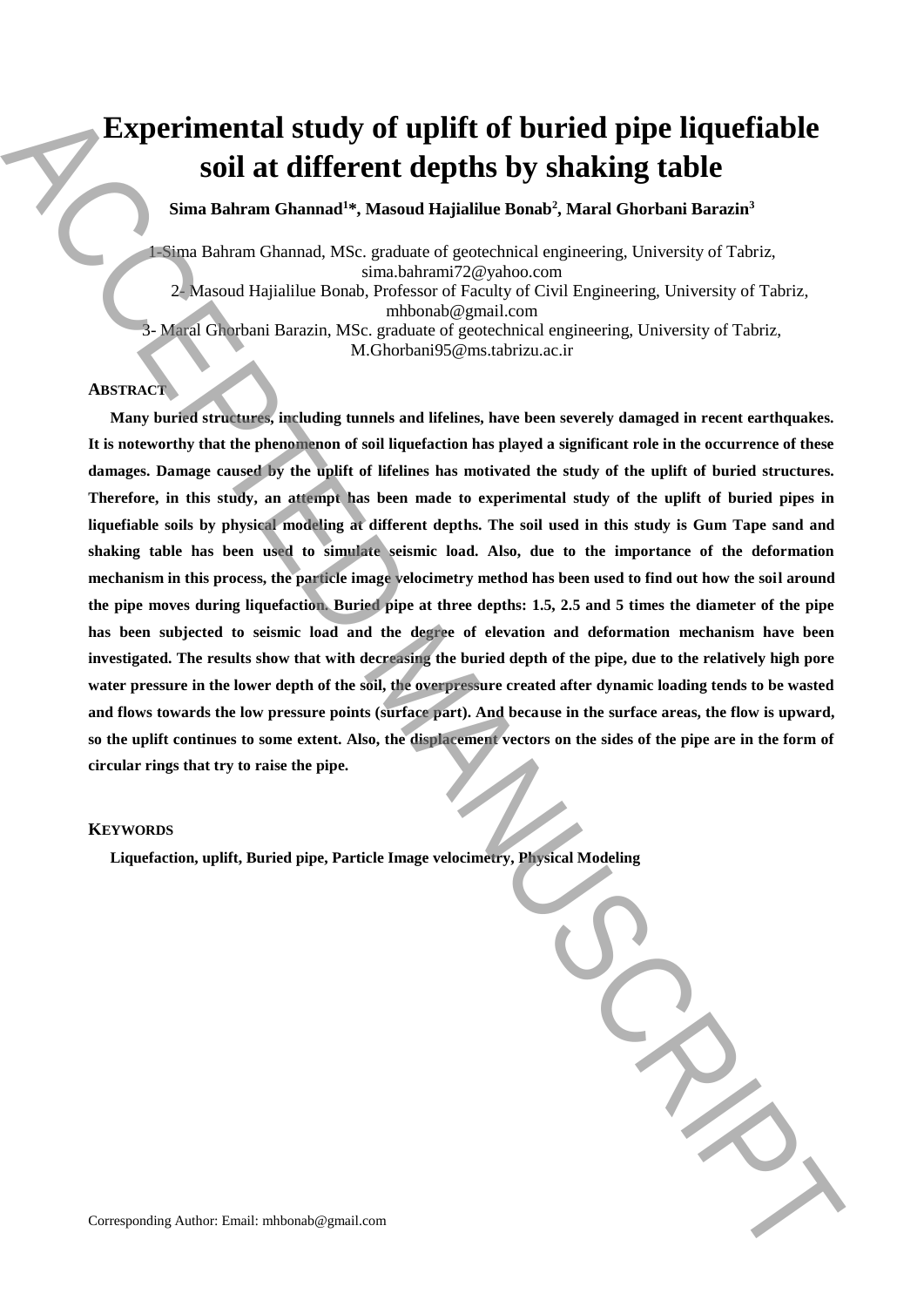# **Experimental study of uplift of buried pipe liquefiable soil at different depths by shaking table**

**Sima Bahram Ghannad<sup>1</sup>\*, Masoud Hajialilue Bonab<sup>2</sup> , Maral Ghorbani Barazin 3**

1-Sima Bahram Ghannad, MSc. graduate of geotechnical engineering, University of Tabriz, sima.bahrami72@yahoo.com

2- Masoud Hajialilue Bonab, Professor of Faculty of Civil Engineering, University of Tabriz, mhbonab@gmail.com

3- Maral Ghorbani Barazin, MSc. graduate of geotechnical engineering, University of Tabriz,

# M.Ghorbani95@ms.tabrizu.ac.ir

# **ABSTRACT**

**Many buried structures, including tunnels and lifelines, have been severely damaged in recent earthquakes. It is noteworthy that the phenomenon of soil liquefaction has played a significant role in the occurrence of these damages. Damage caused by the uplift of lifelines has motivated the study of the uplift of buried structures. Therefore, in this study, an attempt has been made to experimental study of the uplift of buried pipes in liquefiable soils by physical modeling at different depths. The soil used in this study is Gum Tape sand and shaking table has been used to simulate seismic load. Also, due to the importance of the deformation mechanism in this process, the particle image velocimetry method has been used to find out how the soil around the pipe moves during liquefaction. Buried pipe at three depths: 1.5, 2.5 and 5 times the diameter of the pipe has been subjected to seismic load and the degree of elevation and deformation mechanism have been investigated. The results show that with decreasing the buried depth of the pipe, due to the relatively high pore water pressure in the lower depth of the soil, the overpressure created after dynamic loading tends to be wasted and flows towards the low pressure points (surface part). And because in the surface areas, the flow is upward, so the uplift continues to some extent. Also, the displacement vectors on the sides of the pipe are in the form of circular rings that try to raise the pipe. Liquerimental study of uplift of buried pipe liquefiable<br>
Soil at different depths by shakking table**<br>
Simulation Ghamate Wassend Holidants Consider and N. Annot Civil Engineering, University of Taber,<br>
The model Model Mo

# **KEYWORDS**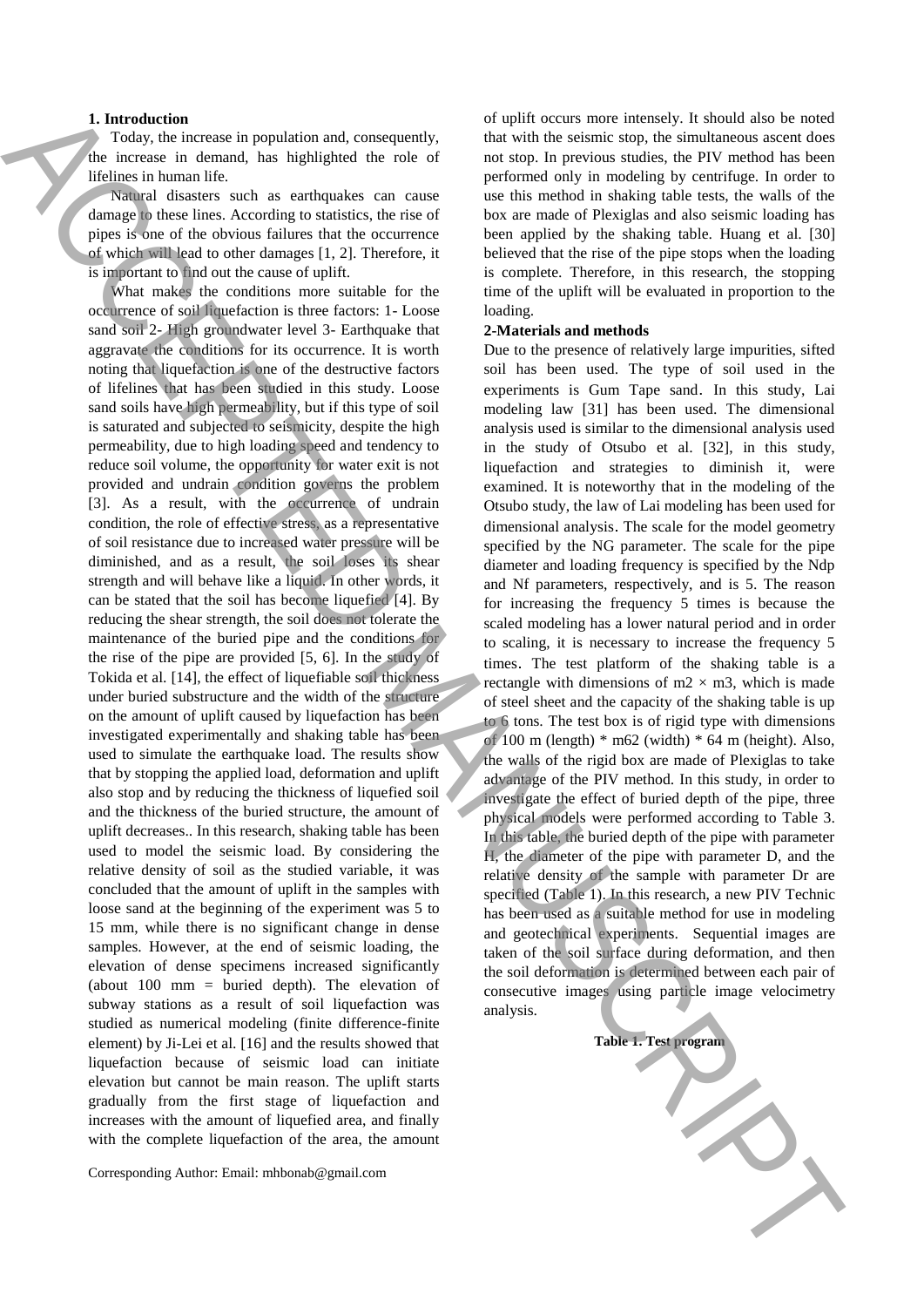#### **1. Introduction**

Today, the increase in population and, consequently, the increase in demand, has highlighted the role of lifelines in human life.

Natural disasters such as earthquakes can cause damage to these lines. According to statistics, the rise of pipes is one of the obvious failures that the occurrence of which will lead to other damages [1, 2]. Therefore, it is important to find out the cause of uplift.

What makes the conditions more suitable for the occurrence of soil liquefaction is three factors: 1- Loose sand soil 2- High groundwater level 3- Earthquake that aggravate the conditions for its occurrence. It is worth noting that liquefaction is one of the destructive factors of lifelines that has been studied in this study. Loose sand soils have high permeability, but if this type of soil is saturated and subjected to seismicity, despite the high permeability, due to high loading speed and tendency to reduce soil volume, the opportunity for water exit is not provided and undrain condition governs the problem [3]. As a result, with the occurrence of undrain condition, the role of effective stress, as a representative of soil resistance due to increased water pressure will be diminished, and as a result, the soil loses its shear strength and will behave like a liquid. In other words, it can be stated that the soil has become liquefied [4]. By reducing the shear strength, the soil does not tolerate the maintenance of the buried pipe and the conditions for the rise of the pipe are provided [5, 6]. In the study of Tokida et al. [14], the effect of liquefiable soil thickness under buried substructure and the width of the structure on the amount of uplift caused by liquefaction has been investigated experimentally and shaking table has been used to simulate the earthquake load. The results show that by stopping the applied load, deformation and uplift also stop and by reducing the thickness of liquefied soil and the thickness of the buried structure, the amount of uplift decreases.. In this research, shaking table has been used to model the seismic load. By considering the relative density of soil as the studied variable, it was concluded that the amount of uplift in the samples with loose sand at the beginning of the experiment was 5 to 15 mm, while there is no significant change in dense samples. However, at the end of seismic loading, the elevation of dense specimens increased significantly (about 100 mm = buried depth). The elevation of subway stations as a result of soil liquefaction was studied as numerical modeling (finite difference-finite element) by Ji-Lei et al. [16] and the results showed that liquefaction because of seismic load can initiate elevation but cannot be main reason. The uplift starts gradually from the first stage of liquefaction and increases with the amount of liquefied area, and finally with the complete liquefaction of the area, the amount **1.** Internation the population and, compared), due with vector metric into the best procedure of the state of the state of the state of the state of the state of the state of the state of the state of the state of the st

Corresponding Author: Email: mhbonab@gmail.com

of uplift occurs more intensely. It should also be noted that with the seismic stop, the simultaneous ascent does not stop. In previous studies, the PIV method has been performed only in modeling by centrifuge. In order to use this method in shaking table tests, the walls of the box are made of Plexiglas and also seismic loading has been applied by the shaking table. Huang et al. [30] believed that the rise of the pipe stops when the loading is complete. Therefore, in this research, the stopping time of the uplift will be evaluated in proportion to the loading.

#### **2-Materials and methods**

Due to the presence of relatively large impurities, sifted soil has been used. The type of soil used in the experiments is Gum Tape sand. In this study, Lai modeling law [31] has been used. The dimensional analysis used is similar to the dimensional analysis used in the study of Otsubo et al. [32], in this study, liquefaction and strategies to diminish it, were examined. It is noteworthy that in the modeling of the Otsubo study, the law of Lai modeling has been used for dimensional analysis. The scale for the model geometry specified by the NG parameter. The scale for the pipe diameter and loading frequency is specified by the Ndp and Nf parameters, respectively, and is 5. The reason for increasing the frequency 5 times is because the scaled modeling has a lower natural period and in order to scaling, it is necessary to increase the frequency 5 times. The test platform of the shaking table is a rectangle with dimensions of  $m2 \times m3$ , which is made of steel sheet and the capacity of the shaking table is up to 6 tons. The test box is of rigid type with dimensions of 100 m (length)  $*$  m62 (width)  $*$  64 m (height). Also, the walls of the rigid box are made of Plexiglas to take advantage of the PIV method. In this study, in order to investigate the effect of buried depth of the pipe, three physical models were performed according to Table 3. In this table, the buried depth of the pipe with parameter H, the diameter of the pipe with parameter D, and the relative density of the sample with parameter Dr are specified (Table 1). In this research, a new PIV Technic has been used as a suitable method for use in modeling and geotechnical experiments. Sequential images are taken of the soil surface during deformation, and then the soil deformation is determined between each pair of consecutive images using particle image velocimetry analysis.